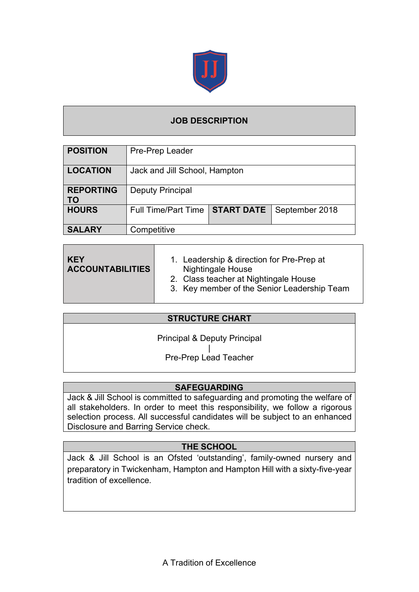

# **JOB DESCRIPTION**

| <b>POSITION</b>               | Pre-Prep Leader               |                   |                |  |  |
|-------------------------------|-------------------------------|-------------------|----------------|--|--|
| <b>LOCATION</b>               | Jack and Jill School, Hampton |                   |                |  |  |
| <b>REPORTING</b><br><b>TO</b> | <b>Deputy Principal</b>       |                   |                |  |  |
| <b>HOURS</b>                  | <b>Full Time/Part Time</b>    | <b>START DATE</b> | September 2018 |  |  |
| <b>SALARY</b>                 | Competitive                   |                   |                |  |  |

| l KEY<br><b>ACCOUNTABILITIES</b> | 1. Leadership & direction for Pre-Prep at<br><b>Nightingale House</b><br>2. Class teacher at Nightingale House<br>3. Key member of the Senior Leadership Team |
|----------------------------------|---------------------------------------------------------------------------------------------------------------------------------------------------------------|
|----------------------------------|---------------------------------------------------------------------------------------------------------------------------------------------------------------|

|--|

Principal & Deputy Principal

| Pre-Prep Lead Teacher

### **SAFEGUARDING**

Jack & Jill School is committed to safeguarding and promoting the welfare of all stakeholders. In order to meet this responsibility, we follow a rigorous selection process. All successful candidates will be subject to an enhanced Disclosure and Barring Service check.

# **THE SCHOOL**

Jack & Jill School is an Ofsted 'outstanding', family-owned nursery and preparatory in Twickenham, Hampton and Hampton Hill with a sixty-five-year tradition of excellence.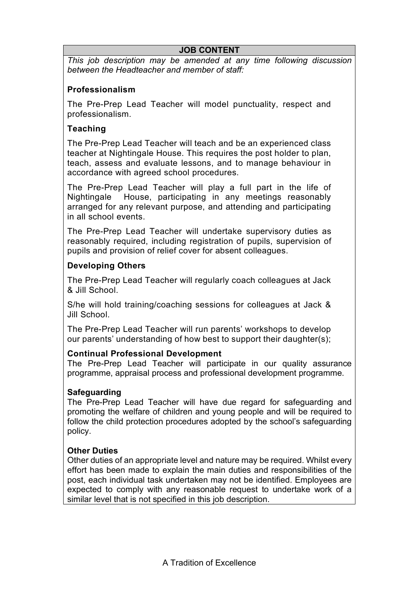#### **JOB CONTENT**

*This job description may be amended at any time following discussion between the Headteacher and member of staff:*

### **Professionalism**

The Pre-Prep Lead Teacher will model punctuality, respect and professionalism.

### **Teaching**

The Pre-Prep Lead Teacher will teach and be an experienced class teacher at Nightingale House. This requires the post holder to plan, teach, assess and evaluate lessons, and to manage behaviour in accordance with agreed school procedures.

The Pre-Prep Lead Teacher will play a full part in the life of Nightingale House, participating in any meetings reasonably arranged for any relevant purpose, and attending and participating in all school events.

The Pre-Prep Lead Teacher will undertake supervisory duties as reasonably required, including registration of pupils, supervision of pupils and provision of relief cover for absent colleagues.

#### **Developing Others**

The Pre-Prep Lead Teacher will regularly coach colleagues at Jack & Jill School.

S/he will hold training/coaching sessions for colleagues at Jack & Jill School.

The Pre-Prep Lead Teacher will run parents' workshops to develop our parents' understanding of how best to support their daughter(s);

#### **Continual Professional Development**

The Pre-Prep Lead Teacher will participate in our quality assurance programme, appraisal process and professional development programme.

#### **Safeguarding**

The Pre-Prep Lead Teacher will have due regard for safeguarding and promoting the welfare of children and young people and will be required to follow the child protection procedures adopted by the school's safeguarding policy.

### **Other Duties**

Other duties of an appropriate level and nature may be required. Whilst every effort has been made to explain the main duties and responsibilities of the post, each individual task undertaken may not be identified. Employees are expected to comply with any reasonable request to undertake work of a similar level that is not specified in this job description.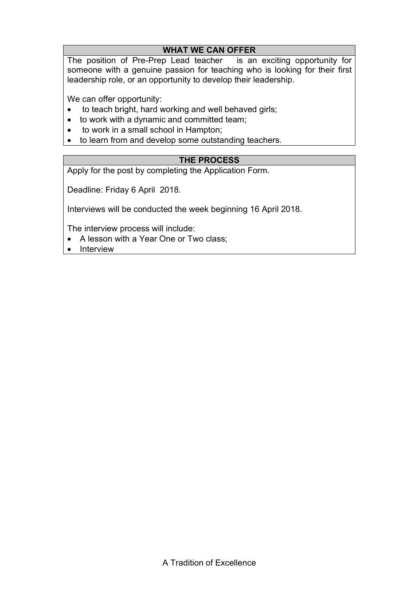### **WHAT WE CAN OFFER**

The position of Pre-Prep Lead teacher is an exciting opportunity for someone with a genuine passion for teaching who is looking for their first leadership role, or an opportunity to develop their leadership.

We can offer opportunity:

- to teach bright, hard working and well behaved girls;
- to work with a dynamic and committed team;
- to work in a small school in Hampton;
- to learn from and develop some outstanding teachers.

### **THE PROCESS**

Apply for the post by completing the Application Form.

Deadline: Friday 6 April 2018.

Interviews will be conducted the week beginning 16 April 2018.

The interview process will include:

- A lesson with a Year One or Two class;
- Interview